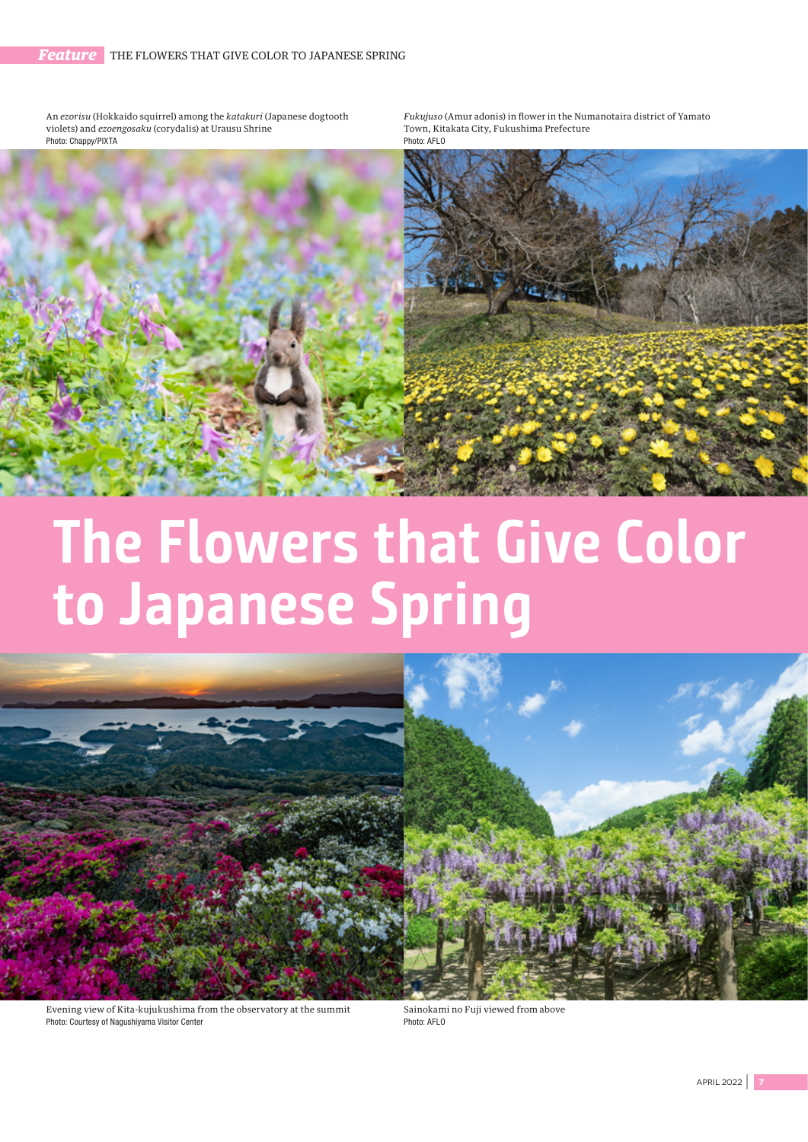An *ezorisu* (Hokkaido squirrel) among the *katakuri* (Japanese dogtooth violets) and *ezoengosaku* (corydalis) at Urausu Shrine Photo: Chappy/PIXTA

*Fukujuso* (Amur adonis) in flower in the Numanotaira district of Yamato Town, Kitakata City, Fukushima Prefecture Photo: AFLO



## **The Flowers that Give Color to Japanese Spring**



Evening view of Kita-kujukushima from the observatory at the summit Photo: Courtesy of Nagushiyama Visitor Center

Sainokami no Fuji viewed from above Photo: AFLO